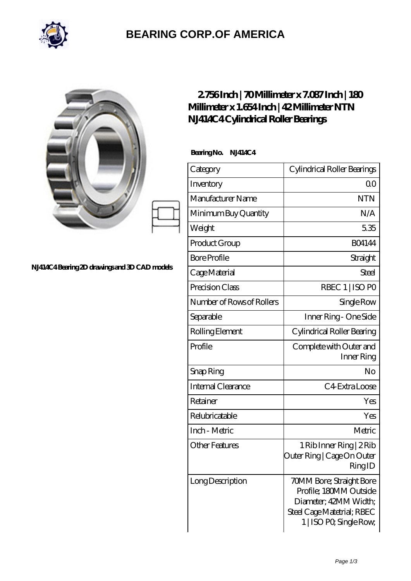

## **[BEARING CORP.OF AMERICA](https://bluemondayreview.com)**

| NJ414C4Bearing 2D drawings and 3D CAD models | 2756Inch   70Millimeter x 7.087Inch   180<br>Millimeter x 1.654 Inch   42 Millimeter NTN<br>N.J414C4Cylindrical Roller Bearings |                                                                                                                                      |
|----------------------------------------------|---------------------------------------------------------------------------------------------------------------------------------|--------------------------------------------------------------------------------------------------------------------------------------|
|                                              | BearingNo.<br>NJ414C4                                                                                                           |                                                                                                                                      |
|                                              | Category                                                                                                                        | Cylindrical Roller Bearings                                                                                                          |
|                                              | Inventory                                                                                                                       | 0 <sup>0</sup>                                                                                                                       |
|                                              | Manufacturer Name                                                                                                               | <b>NTN</b>                                                                                                                           |
|                                              | Minimum Buy Quantity                                                                                                            | N/A                                                                                                                                  |
|                                              | Weight                                                                                                                          | 5.35                                                                                                                                 |
|                                              | Product Group                                                                                                                   | <b>BO4144</b>                                                                                                                        |
|                                              | <b>Bore Profile</b>                                                                                                             | Straight                                                                                                                             |
|                                              | Cage Material                                                                                                                   | <b>Steel</b>                                                                                                                         |
|                                              | Precision Class                                                                                                                 | RBEC 1   ISO PO                                                                                                                      |
|                                              | Number of Rows of Rollers                                                                                                       | Single Row                                                                                                                           |
|                                              | Separable                                                                                                                       | Inner Ring - One Side                                                                                                                |
|                                              | Rolling Element                                                                                                                 | Cylindrical Roller Bearing                                                                                                           |
|                                              | Profile                                                                                                                         | Complete with Outer and<br>Inner Ring                                                                                                |
|                                              | Snap Ring                                                                                                                       | No                                                                                                                                   |
|                                              | Internal Clearance                                                                                                              | C4 Extra Loose                                                                                                                       |
|                                              | Retainer                                                                                                                        | Yes                                                                                                                                  |
|                                              | Relubricatable                                                                                                                  | Yes                                                                                                                                  |
|                                              | Inch - Metric                                                                                                                   | Metric                                                                                                                               |
|                                              | <b>Other Features</b>                                                                                                           | 1 Rib Inner Ring   2 Rib<br>Outer Ring   Cage On Outer<br>RingID                                                                     |
|                                              | Long Description                                                                                                                | 70MM Bore; Straight Bore<br>Profile; 180MM Outside<br>Diameter; 42MM Width;<br>Steel Cage Matetrial; RBEC<br>1   ISO PO, Single Row, |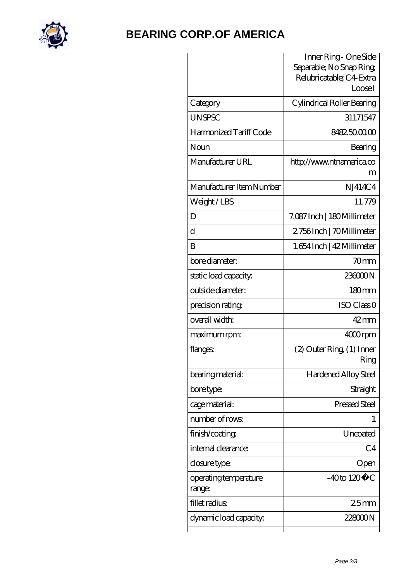

## **[BEARING CORP.OF AMERICA](https://bluemondayreview.com)**

| Inner Ring - One Side<br>Separable; No Snap Ring;<br>Relubricatable; C4 Extra<br>LooseI |
|-----------------------------------------------------------------------------------------|
| Cylindrical Roller Bearing                                                              |
| 31171547                                                                                |
| 8482.5000.00                                                                            |
| Bearing                                                                                 |
| http://www.ntnamerica.co<br>m                                                           |
| NJ414C4                                                                                 |
| 11.779                                                                                  |
| 7.087 Inch   180 Millimeter                                                             |
| 2756Inch   70Millimeter                                                                 |
| 1.654 Inch   42 Millimeter                                                              |
| 70 <sub>mm</sub>                                                                        |
| 236000N                                                                                 |
| 180 <sub>mm</sub>                                                                       |
| ISO Class <sub>O</sub>                                                                  |
| $42 \text{mm}$                                                                          |
| $4000$ rpm                                                                              |
| $(2)$ Outer Ring $(1)$ Inner<br>Ring                                                    |
| <b>Hardened Alloy Steel</b>                                                             |
| Straight                                                                                |
| Pressed Steel                                                                           |
|                                                                                         |
| Uncoated                                                                                |
| C <sub>4</sub>                                                                          |
| Open                                                                                    |
| $-40$ to $120^{\circ}$ C                                                                |
| 25 <sub>mm</sub>                                                                        |
| 22800N                                                                                  |
|                                                                                         |